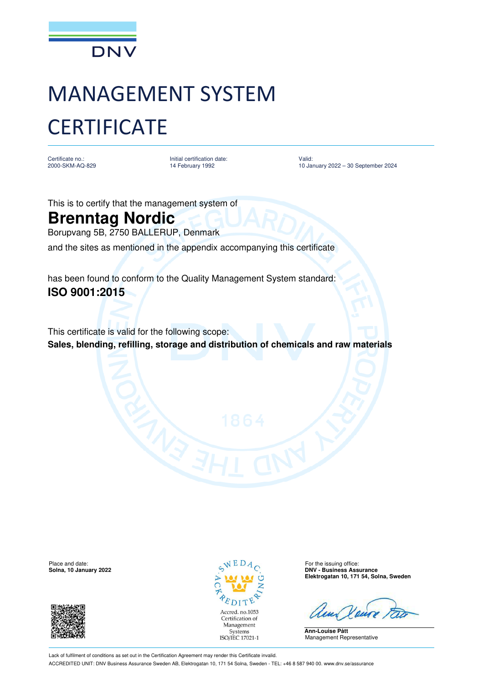

## MANAGEMENT SYSTEM **CERTIFICATE**

Certificate no.: 2000-SKM-AQ-829 Initial certification date: 14 February 1992

Valid: 10 January 2022 – 30 September 2024

This is to certify that the management system of

## **Brenntag Nordic**

Borupvang 5B, 2750 BALLERUP, Denmark

and the sites as mentioned in the appendix accompanying this certificate

has been found to conform to the Quality Management System standard: **ISO 9001:2015**

This certificate is valid for the following scope: **Sales, blending, refilling, storage and distribution of chemicals and raw materials** 

Place and date: For the issuing office:  $\sqrt{E} D A_{\odot}$  For the issuing office:





**Solna, 10 January 2022 DNV - Business Assurance Elektrogatan 10, 171 54, Solna, Sweden**

**Ann-Louise Pått** Management Representative

Lack of fulfilment of conditions as set out in the Certification Agreement may render this Certificate invalid. ACCREDITED UNIT: DNV Business Assurance Sweden AB, Elektrogatan 10, 171 54 Solna, Sweden - TEL: +46 8 587 940 00. www.dnv.se/assurance